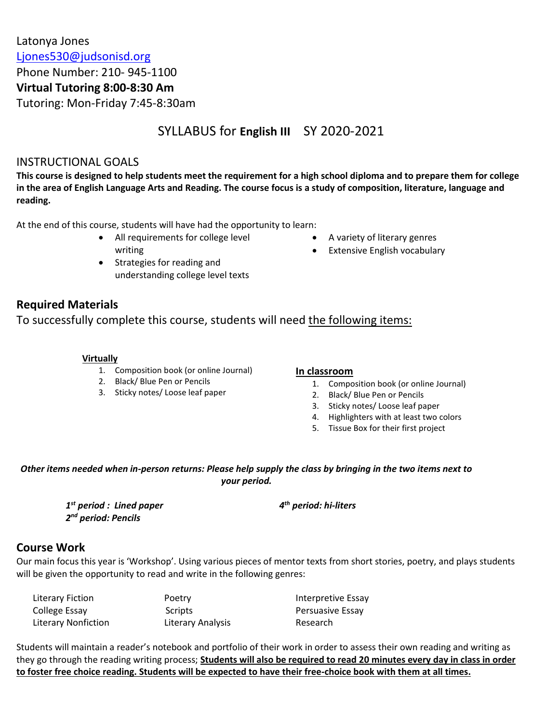Latonya Jones [Ljones530@judsonisd.org](mailto:Ljones530@judsonisd.org) Phone Number: 210- 945-1100 **Virtual Tutoring 8:00-8:30 Am** Tutoring: Mon-Friday 7:45-8:30am

# SYLLABUS for **English III** SY 2020-2021

### INSTRUCTIONAL GOALS

**This course is designed to help students meet the requirement for a high school diploma and to prepare them for college in the area of English Language Arts and Reading. The course focus is a study of composition, literature, language and reading.**

At the end of this course, students will have had the opportunity to learn:

- All requirements for college level writing
- Strategies for reading and understanding college level texts
- A variety of literary genres
- Extensive English vocabulary

# **Required Materials**

To successfully complete this course, students will need the following items:

### **Virtually**

- 1. Composition book (or online Journal)
- 2. Black/ Blue Pen or Pencils
- 3. Sticky notes/ Loose leaf paper

### **In classroom**

- 1. Composition book (or online Journal)
- 2. Black/ Blue Pen or Pencils
- 3. Sticky notes/ Loose leaf paper
- 4. Highlighters with at least two colors
- 5. Tissue Box for their first project

### *Other items needed when in-person returns: Please help supply the class by bringing in the two items next to your period.*

*1 st period : Lined paper 2 nd period: Pencils* 

*4 th period: hi-liters*

# **Course Work**

Our main focus this year is 'Workshop'. Using various pieces of mentor texts from short stories, poetry, and plays students will be given the opportunity to read and write in the following genres:

| Literary Fiction           | Poetry            | Interpretive Essay      |
|----------------------------|-------------------|-------------------------|
| College Essay              | Scripts           | <b>Persuasive Essay</b> |
| <b>Literary Nonfiction</b> | Literary Analysis | Research                |

Students will maintain a reader's notebook and portfolio of their work in order to assess their own reading and writing as they go through the reading writing process; **Students will also be required to read 20 minutes every day in class in order to foster free choice reading. Students will be expected to have their free-choice book with them at all times.**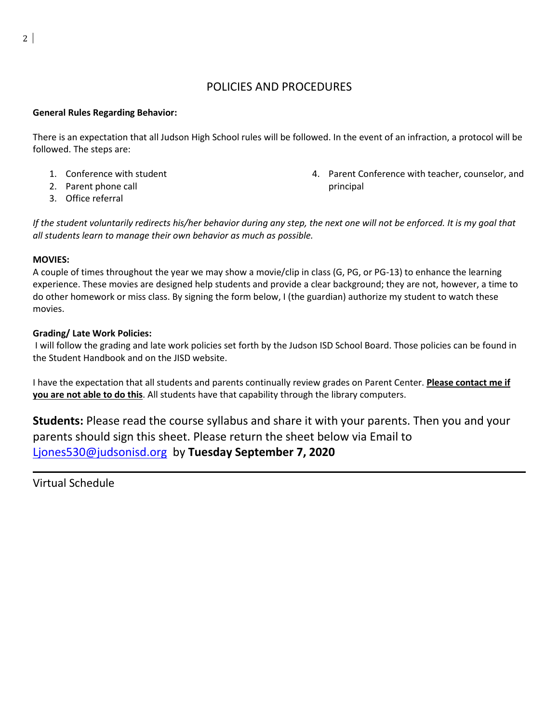### POLICIES AND PROCEDURES

### **General Rules Regarding Behavior:**

There is an expectation that all Judson High School rules will be followed. In the event of an infraction, a protocol will be followed. The steps are:

- 1. Conference with student
- 2. Parent phone call
- 3. Office referral

4. Parent Conference with teacher, counselor, and principal

*If the student voluntarily redirects his/her behavior during any step, the next one will not be enforced. It is my goal that all students learn to manage their own behavior as much as possible.* 

#### **MOVIES:**

A couple of times throughout the year we may show a movie/clip in class (G, PG, or PG-13) to enhance the learning experience. These movies are designed help students and provide a clear background; they are not, however, a time to do other homework or miss class. By signing the form below, I (the guardian) authorize my student to watch these movies.

#### **Grading/ Late Work Policies:**

I will follow the grading and late work policies set forth by the Judson ISD School Board. Those policies can be found in the Student Handbook and on the JISD website.

I have the expectation that all students and parents continually review grades on Parent Center. **Please contact me if you are not able to do this**. All students have that capability through the library computers.

**Students:** Please read the course syllabus and share it with your parents. Then you and your parents should sign this sheet. Please return the sheet below via Email to [Ljones530@judsonisd.org](mailto:Ljones530@judsonisd.org) by **Tuesday September 7, 2020**

Virtual Schedule